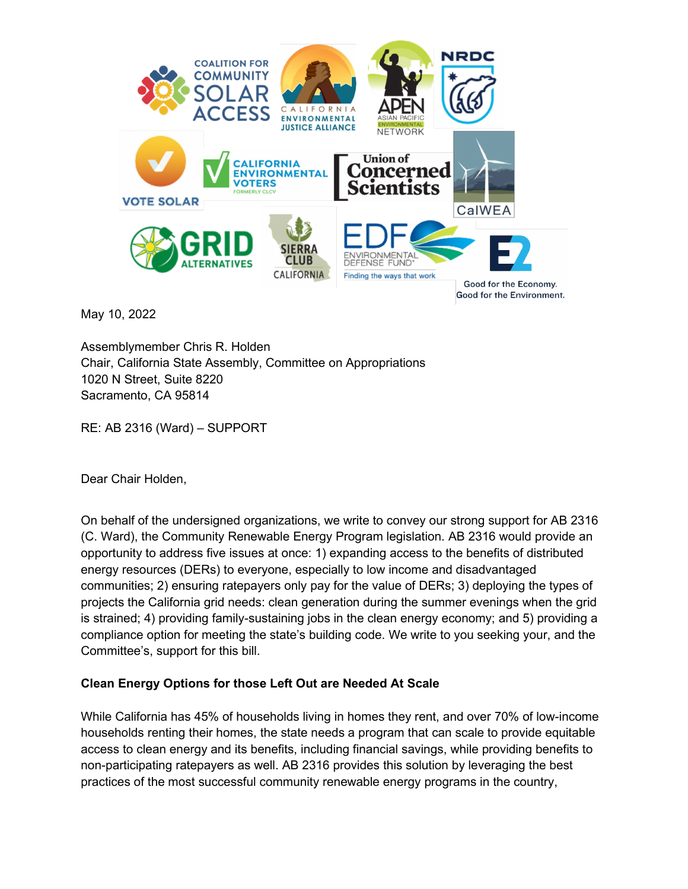

May 10, 2022

Assemblymember Chris R. Holden Chair, California State Assembly, Committee on Appropriations 1020 N Street, Suite 8220 Sacramento, CA 95814

RE: AB 2316 (Ward) – SUPPORT

Dear Chair Holden,

On behalf of the undersigned organizations, we write to convey our strong support for AB 2316 (C. Ward), the Community Renewable Energy Program legislation. AB 2316 would provide an opportunity to address five issues at once: 1) expanding access to the benefits of distributed energy resources (DERs) to everyone, especially to low income and disadvantaged communities; 2) ensuring ratepayers only pay for the value of DERs; 3) deploying the types of projects the California grid needs: clean generation during the summer evenings when the grid is strained; 4) providing family-sustaining jobs in the clean energy economy; and 5) providing a compliance option for meeting the state's building code. We write to you seeking your, and the Committee's, support for this bill.

#### **Clean Energy Options for those Left Out are Needed At Scale**

While California has 45% of households living in homes they rent, and over 70% of low-income households renting their homes, the state needs a program that can scale to provide equitable access to clean energy and its benefits, including financial savings, while providing benefits to non-participating ratepayers as well. AB 2316 provides this solution by leveraging the best practices of the most successful community renewable energy programs in the country,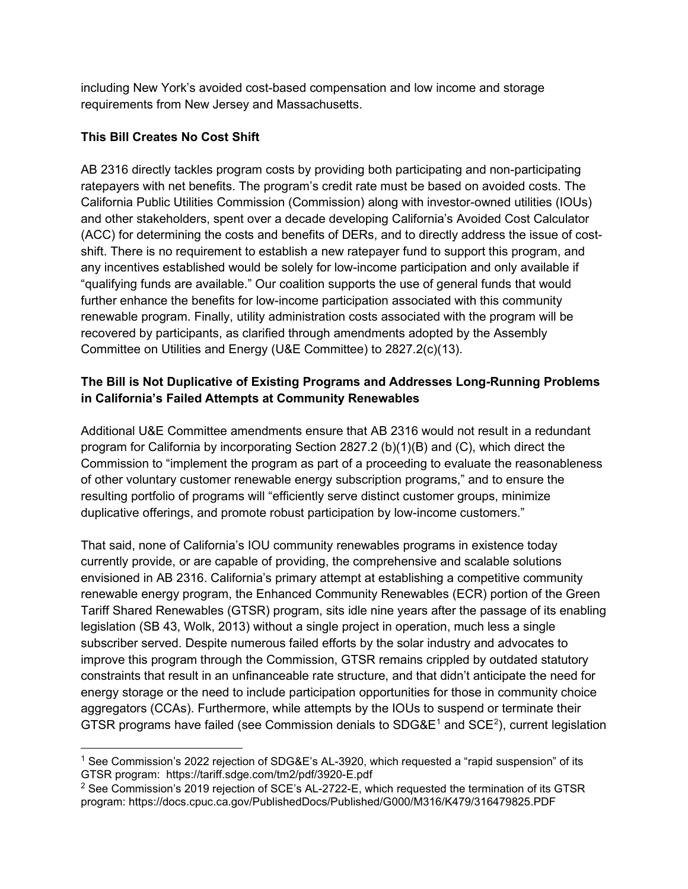including New York's avoided cost-based compensation and low income and storage requirements from New Jersey and Massachusetts.

#### **This Bill Creates No Cost Shift**

AB 2316 directly tackles program costs by providing both participating and non-participating ratepayers with net benefits. The program's credit rate must be based on avoided costs. The California Public Utilities Commission (Commission) along with investor-owned utilities (IOUs) and other stakeholders, spent over a decade developing California's Avoided Cost Calculator (ACC) for determining the costs and benefits of DERs, and to directly address the issue of costshift. There is no requirement to establish a new ratepayer fund to support this program, and any incentives established would be solely for low-income participation and only available if "qualifying funds are available." Our coalition supports the use of general funds that would further enhance the benefits for low-income participation associated with this community renewable program. Finally, utility administration costs associated with the program will be recovered by participants, as clarified through amendments adopted by the Assembly Committee on Utilities and Energy (U&E Committee) to 2827.2(c)(13).

### **The Bill is Not Duplicative of Existing Programs and Addresses Long-Running Problems in California's Failed Attempts at Community Renewables**

Additional U&E Committee amendments ensure that AB 2316 would not result in a redundant program for California by incorporating Section 2827.2 (b)(1)(B) and (C), which direct the Commission to "implement the program as part of a proceeding to evaluate the reasonableness of other voluntary customer renewable energy subscription programs," and to ensure the resulting portfolio of programs will "efficiently serve distinct customer groups, minimize duplicative offerings, and promote robust participation by low-income customers."

That said, none of California's IOU community renewables programs in existence today currently provide, or are capable of providing, the comprehensive and scalable solutions envisioned in AB 2316. California's primary attempt at establishing a competitive community renewable energy program, the Enhanced Community Renewables (ECR) portion of the Green Tariff Shared Renewables (GTSR) program, sits idle nine years after the passage of its enabling legislation (SB 43, Wolk, 2013) without a single project in operation, much less a single subscriber served. Despite numerous failed efforts by the solar industry and advocates to improve this program through the Commission, GTSR remains crippled by outdated statutory constraints that result in an unfinanceable rate structure, and that didn't anticipate the need for energy storage or the need to include participation opportunities for those in community choice aggregators (CCAs). Furthermore, while attempts by the IOUs to suspend or terminate their GTSR programs have failed (see Commission denials to SDG&E<sup>[1](#page-1-0)</sup> and SCE<sup>[2](#page-1-1)</sup>), current legislation

<span id="page-1-0"></span><sup>&</sup>lt;sup>1</sup> See Commission's 2022 rejection of SDG&E's AL-3920, which requested a "rapid suspension" of its GTSR program: https://tariff.sdge.com/tm2/pdf/3920-E.pdf

<span id="page-1-1"></span><sup>2</sup> See Commission's 2019 rejection of SCE's AL-2722-E, which requested the termination of its GTSR program: https://docs.cpuc.ca.gov/PublishedDocs/Published/G000/M316/K479/316479825.PDF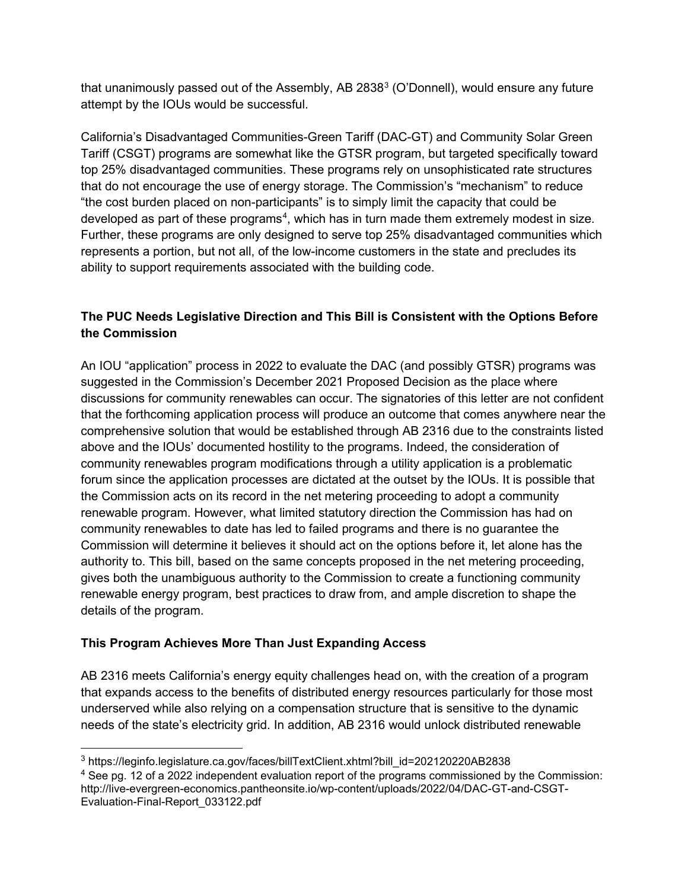that unanimously passed out of the Assembly, AB 28[3](#page-2-0)8<sup>3</sup> (O'Donnell), would ensure any future attempt by the IOUs would be successful.

California's Disadvantaged Communities-Green Tariff (DAC-GT) and Community Solar Green Tariff (CSGT) programs are somewhat like the GTSR program, but targeted specifically toward top 25% disadvantaged communities. These programs rely on unsophisticated rate structures that do not encourage the use of energy storage. The Commission's "mechanism" to reduce "the cost burden placed on non-participants" is to simply limit the capacity that could be developed as part of these programs $^4$  $^4$ , which has in turn made them extremely modest in size. Further, these programs are only designed to serve top 25% disadvantaged communities which represents a portion, but not all, of the low-income customers in the state and precludes its ability to support requirements associated with the building code.

# **The PUC Needs Legislative Direction and This Bill is Consistent with the Options Before the Commission**

An IOU "application" process in 2022 to evaluate the DAC (and possibly GTSR) programs was suggested in the Commission's December 2021 Proposed Decision as the place where discussions for community renewables can occur. The signatories of this letter are not confident that the forthcoming application process will produce an outcome that comes anywhere near the comprehensive solution that would be established through AB 2316 due to the constraints listed above and the IOUs' documented hostility to the programs. Indeed, the consideration of community renewables program modifications through a utility application is a problematic forum since the application processes are dictated at the outset by the IOUs. It is possible that the Commission acts on its record in the net metering proceeding to adopt a community renewable program. However, what limited statutory direction the Commission has had on community renewables to date has led to failed programs and there is no guarantee the Commission will determine it believes it should act on the options before it, let alone has the authority to. This bill, based on the same concepts proposed in the net metering proceeding, gives both the unambiguous authority to the Commission to create a functioning community renewable energy program, best practices to draw from, and ample discretion to shape the details of the program.

## **This Program Achieves More Than Just Expanding Access**

AB 2316 meets California's energy equity challenges head on, with the creation of a program that expands access to the benefits of distributed energy resources particularly for those most underserved while also relying on a compensation structure that is sensitive to the dynamic needs of the state's electricity grid. In addition, AB 2316 would unlock distributed renewable

<span id="page-2-0"></span><sup>3</sup> https://leginfo.legislature.ca.gov/faces/billTextClient.xhtml?bill\_id=202120220AB2838

<span id="page-2-1"></span><sup>&</sup>lt;sup>4</sup> See pg. 12 of a 2022 independent evaluation report of the programs commissioned by the Commission: http://live-evergreen-economics.pantheonsite.io/wp-content/uploads/2022/04/DAC-GT-and-CSGT-Evaluation-Final-Report\_033122.pdf